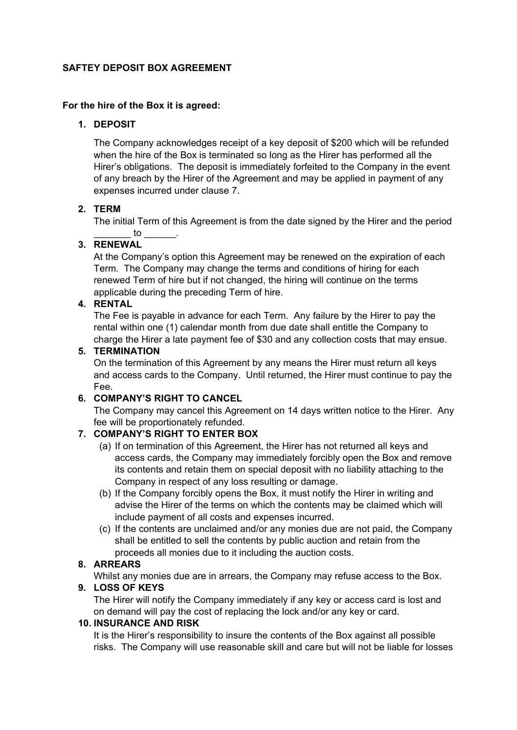#### **SAFTEY DEPOSIT BOX AGREEMENT**

#### **For the hire of the Box it is agreed:**

## **1. DEPOSIT**

The Company acknowledges receipt of a key deposit of \$200 which will be refunded when the hire of the Box is terminated so long as the Hirer has performed all the Hirer's obligations. The deposit is immediately forfeited to the Company in the event of any breach by the Hirer of the Agreement and may be applied in payment of any expenses incurred under clause 7.

## **2. TERM**

The initial Term of this Agreement is from the date signed by the Hirer and the period  $\overline{\mathsf{to}}$ 

# **3. RENEWAL**

At the Company's option this Agreement may be renewed on the expiration of each Term. The Company may change the terms and conditions of hiring for each renewed Term of hire but if not changed, the hiring will continue on the terms applicable during the preceding Term of hire.

## **4. RENTAL**

The Fee is payable in advance for each Term. Any failure by the Hirer to pay the rental within one (1) calendar month from due date shall entitle the Company to charge the Hirer a late payment fee of \$30 and any collection costs that may ensue.

## **5. TERMINATION**

On the termination of this Agreement by any means the Hirer must return all keys and access cards to the Company. Until returned, the Hirer must continue to pay the Fee.

## **6. COMPANY'S RIGHT TO CANCEL**

The Company may cancel this Agreement on 14 days written notice to the Hirer. Any fee will be proportionately refunded.

## **7. COMPANY'S RIGHT TO ENTER BOX**

- (a) If on termination of this Agreement, the Hirer has not returned all keys and access cards, the Company may immediately forcibly open the Box and remove its contents and retain them on special deposit with no liability attaching to the Company in respect of any loss resulting or damage.
- (b) If the Company forcibly opens the Box, it must notify the Hirer in writing and advise the Hirer of the terms on which the contents may be claimed which will include payment of all costs and expenses incurred.
- (c) If the contents are unclaimed and/or any monies due are not paid, the Company shall be entitled to sell the contents by public auction and retain from the proceeds all monies due to it including the auction costs.

## **8. ARREARS**

Whilst any monies due are in arrears, the Company may refuse access to the Box.

#### **9. LOSS OF KEYS**

The Hirer will notify the Company immediately if any key or access card is lost and on demand will pay the cost of replacing the lock and/or any key or card.

#### **10. INSURANCE AND RISK**

It is the Hirer's responsibility to insure the contents of the Box against all possible risks. The Company will use reasonable skill and care but will not be liable for losses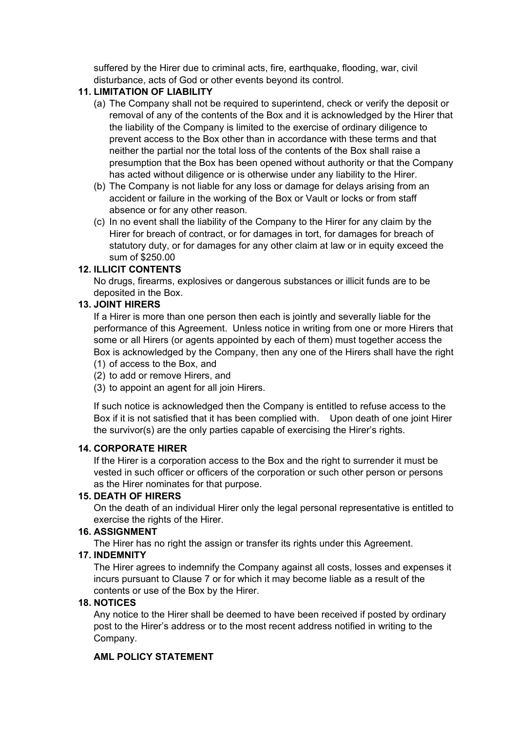suffered by the Hirer due to criminal acts, fire, earthquake, flooding, war, civil disturbance, acts of God or other events beyond its control.

## **11. LIMITATION OF LIABILITY**

- (a) The Company shall not be required to superintend, check or verify the deposit or removal of any of the contents of the Box and it is acknowledged by the Hirer that the liability of the Company is limited to the exercise of ordinary diligence to prevent access to the Box other than in accordance with these terms and that neither the partial nor the total loss of the contents of the Box shall raise a presumption that the Box has been opened without authority or that the Company has acted without diligence or is otherwise under any liability to the Hirer.
- (b) The Company is not liable for any loss or damage for delays arising from an accident or failure in the working of the Box or Vault or locks or from staff absence or for any other reason.
- (c) In no event shall the liability of the Company to the Hirer for any claim by the Hirer for breach of contract, or for damages in tort, for damages for breach of statutory duty, or for damages for any other claim at law or in equity exceed the sum of \$250.00

#### **12. ILLICIT CONTENTS**

No drugs, firearms, explosives or dangerous substances or illicit funds are to be deposited in the Box.

## **13. JOINT HIRERS**

If a Hirer is more than one person then each is jointly and severally liable for the performance of this Agreement. Unless notice in writing from one or more Hirers that some or all Hirers (or agents appointed by each of them) must together access the Box is acknowledged by the Company, then any one of the Hirers shall have the right (1) of access to the Box, and

- (2) to add or remove Hirers, and
- (3) to appoint an agent for all join Hirers.

If such notice is acknowledged then the Company is entitled to refuse access to the Box if it is not satisfied that it has been complied with. Upon death of one joint Hirer the survivor(s) are the only parties capable of exercising the Hirer's rights.

#### **14. CORPORATE HIRER**

If the Hirer is a corporation access to the Box and the right to surrender it must be vested in such officer or officers of the corporation or such other person or persons as the Hirer nominates for that purpose.

## **15. DEATH OF HIRERS**

On the death of an individual Hirer only the legal personal representative is entitled to exercise the rights of the Hirer.

#### **16. ASSIGNMENT**

The Hirer has no right the assign or transfer its rights under this Agreement.

#### **17. INDEMNITY**

The Hirer agrees to indemnify the Company against all costs, losses and expenses it incurs pursuant to Clause 7 or for which it may become liable as a result of the contents or use of the Box by the Hirer.

## **18. NOTICES**

Any notice to the Hirer shall be deemed to have been received if posted by ordinary post to the Hirer's address or to the most recent address notified in writing to the Company.

## **AML POLICY STATEMENT**